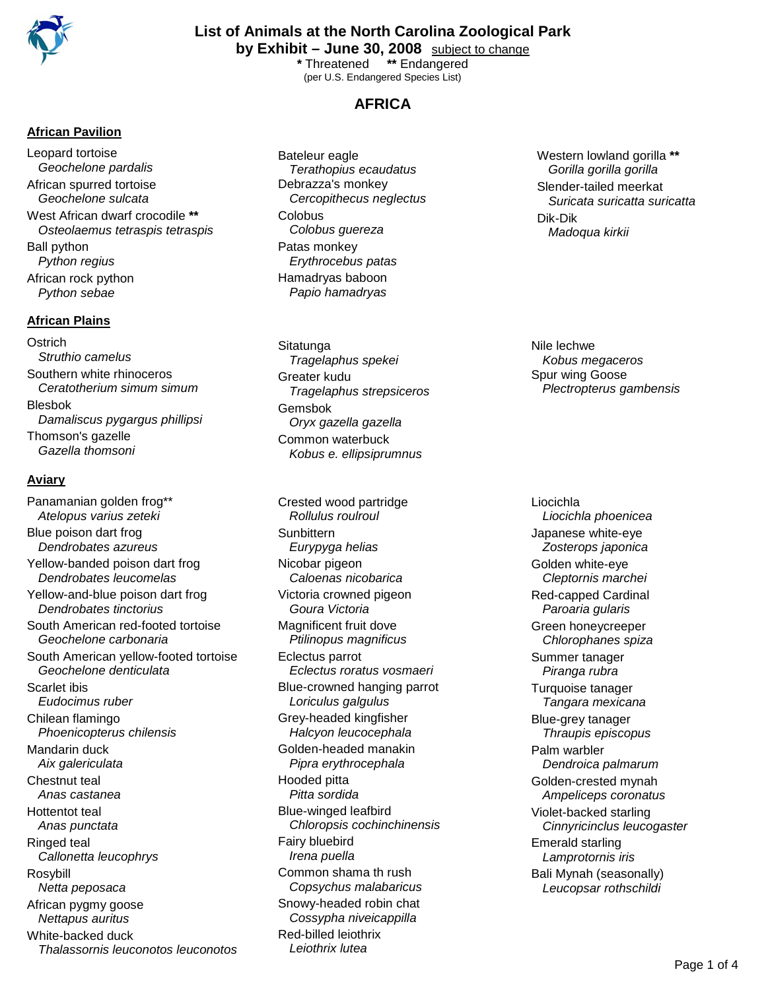

**List of Animals at the North Carolina Zoological Park**

**by Exhibit – June 30, 2008** subject to change

**\*** Threatened **\*\*** Endangered (per U.S. Endangered Species List)

# **AFRICA**

**African Pavilion**

Leopard tortoise *Geochelone pardalis* African spurred tortoise *Geochelone sulcata* West African dwarf crocodile **\*\*** *Osteolaemus tetraspis tetraspis* Ball python *Python regius* African rock python *Python sebae*

#### **African Plains**

**Ostrich** *Struthio camelus*  Southern white rhinoceros *Ceratotherium simum simum* Blesbok *Damaliscus pygargus phillipsi* Thomson's gazelle *Gazella thomsoni*

### **Aviary**

Panamanian golden frog\*\* *Atelopus varius zeteki* Blue poison dart frog *Dendrobates azureus* Yellow-banded poison dart frog *Dendrobates leucomelas* Yellow-and-blue poison dart frog *Dendrobates tinctorius* South American red-footed tortoise *Geochelone carbonaria* South American yellow-footed tortoise *Geochelone denticulata* Scarlet ibis *Eudocimus ruber* Chilean flamingo *Phoenicopterus chilensis* Mandarin duck *Aix galericulata* Chestnut teal *Anas castanea* Hottentot teal *Anas punctata* Ringed teal *Callonetta leucophrys* Rosybill *Netta peposaca* African pygmy goose *Nettapus auritus* White-backed duck *Thalassornis leuconotos leuconotos* Bateleur eagle *Terathopius ecaudatus* Debrazza's monkey *Cercopithecus neglectus* **Colobus** *Colobus guereza* Patas monkey *Erythrocebus patas* Hamadryas baboon *Papio hamadryas*

**Sitatunga** *Tragelaphus spekei* Greater kudu *Tragelaphus strepsiceros* Gemsbok *Oryx gazella gazella* Common waterbuck *Kobus e. ellipsiprumnus* 

Crested wood partridge *Rollulus roulroul* **Sunbittern** *Eurypyga helias* Nicobar pigeon *Caloenas nicobarica* Victoria crowned pigeon *Goura Victoria* Magnificent fruit dove *Ptilinopus magnificus* Eclectus parrot *Eclectus roratus vosmaeri* Blue-crowned hanging parrot *Loriculus galgulus* Grey-headed kingfisher *Halcyon leucocephala* Golden-headed manakin *Pipra erythrocephala* Hooded pitta *Pitta sordida* Blue-winged leafbird *Chloropsis cochinchinensis* Fairy bluebird *Irena puella* Common shama th rush *Copsychus malabaricus* Snowy-headed robin chat *Cossypha niveicappilla* Red-billed leiothrix *Leiothrix lutea*

Western lowland gorilla **\*\*** *Gorilla gorilla gorilla* Slender-tailed meerkat *Suricata suricatta suricatta* Dik-Dik *Madoqua kirkii* 

Nile lechwe *Kobus megaceros* Spur wing Goose *Plectropterus gambensis*

Liocichla *Liocichla phoenicea* Japanese white-eye *Zosterops japonica* Golden white-eye *Cleptornis marchei* Red-capped Cardinal *Paroaria gularis* Green honeycreeper *Chlorophanes spiza* Summer tanager *Piranga rubra* Turquoise tanager *Tangara mexicana* Blue-grey tanager *Thraupis episcopus* Palm warbler *Dendroica palmarum* Golden-crested mynah *Ampeliceps coronatus* Violet-backed starling *Cinnyricinclus leucogaster* Emerald starling *Lamprotornis iris* Bali Mynah (seasonally) *Leucopsar rothschildi*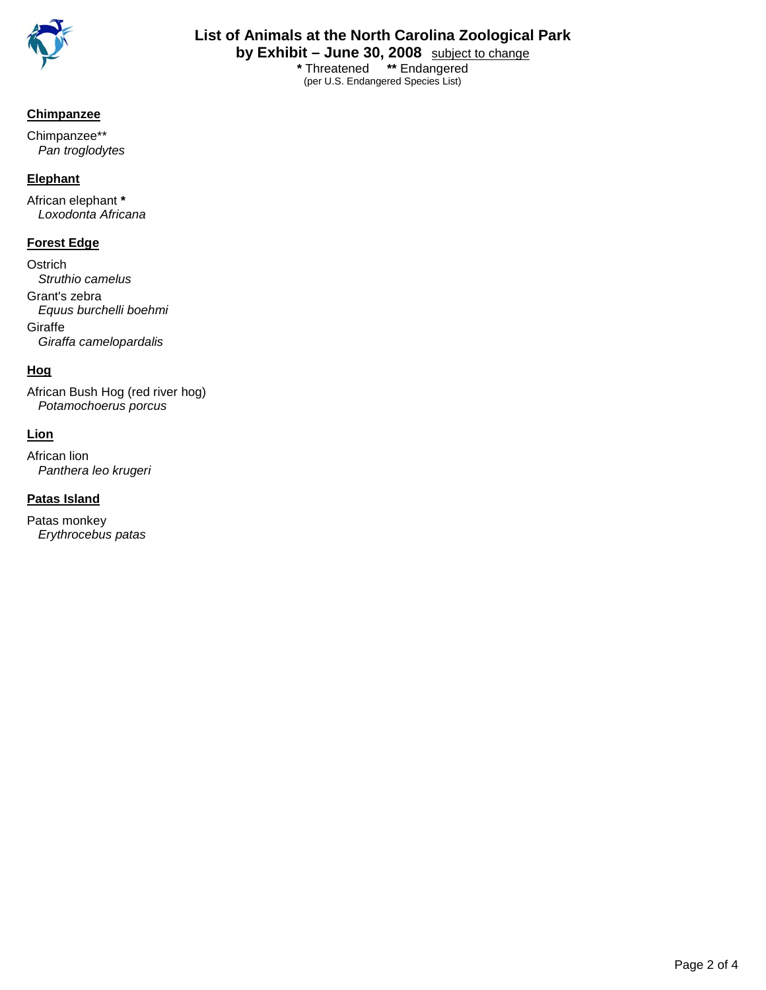

**List of Animals at the North Carolina Zoological Park by Exhibit – June 30, 2008** subject to change

**\*** Threatened **\*\*** Endangered (per U.S. Endangered Species List)

## **Chimpanzee**

Chimpanzee\*\* *Pan troglodytes*

### **Elephant**

African elephant **\*** *Loxodonta Africana*

## **Forest Edge**

**Ostrich** *Struthio camelus* Grant's zebra *Equus burchelli boehmi* **Giraffe** *Giraffa camelopardalis*

# **Hog**

African Bush Hog (red river hog) *Potamochoerus porcus*

# **Lion**

African lion *Panthera leo krugeri*

# **Patas Island**

Patas monkey *Erythrocebus patas*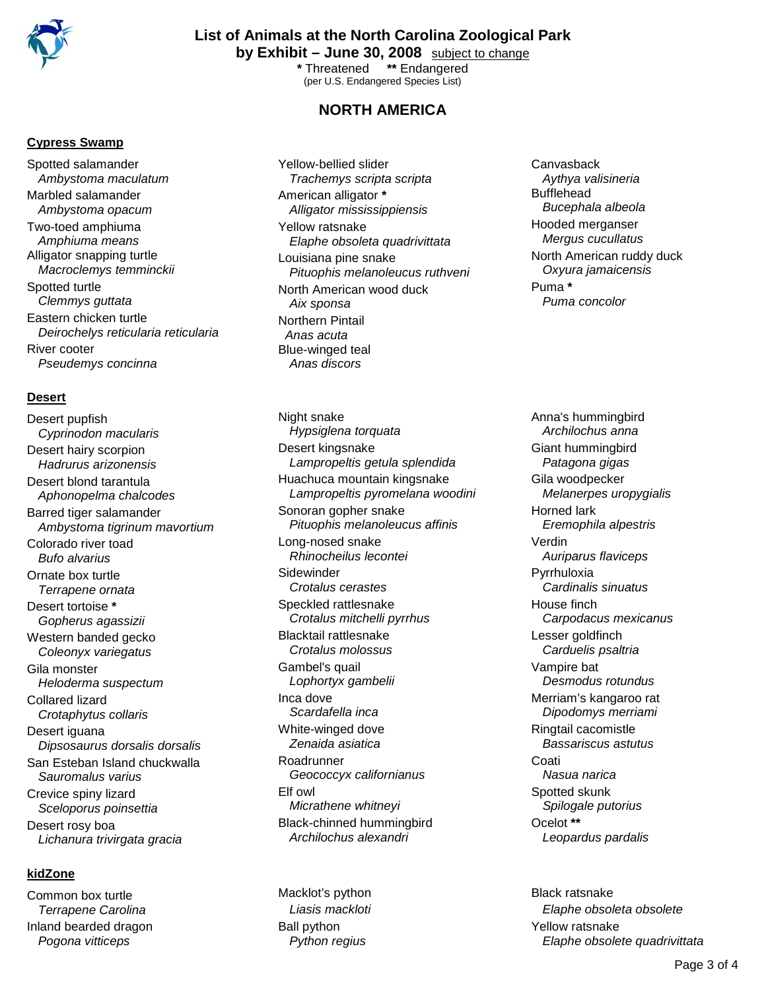

# **List of Animals at the North Carolina Zoological Park**

**by Exhibit – June 30, 2008** subject to change **\*** Threatened **\*\*** Endangered

(per U.S. Endangered Species List)

## **NORTH AMERICA**

#### **Cypress Swamp**

Spotted salamander *Ambystoma maculatum* Marbled salamander *Ambystoma opacum* Two-toed amphiuma *Amphiuma means* Alligator snapping turtle *Macroclemys temminckii* Spotted turtle *Clemmys guttata* Eastern chicken turtle *Deirochelys reticularia reticularia* River cooter *Pseudemys concinna*

#### **Desert**

Desert pupfish *Cyprinodon macularis* Desert hairy scorpion *Hadrurus arizonensis* Desert blond tarantula *Aphonopelma chalcodes* Barred tiger salamander *Ambystoma tigrinum mavortium* Colorado river toad *Bufo alvarius* Ornate box turtle *Terrapene ornata* Desert tortoise **\*** *Gopherus agassizii* Western banded gecko *Coleonyx variegatus* Gila monster *Heloderma suspectum* Collared lizard *Crotaphytus collaris* Desert iguana *Dipsosaurus dorsalis dorsalis* San Esteban Island chuckwalla *Sauromalus varius* Crevice spiny lizard *Sceloporus poinsettia* Desert rosy boa *Lichanura trivirgata gracia*

### **kidZone**

Common box turtle *Terrapene Carolina* Inland bearded dragon *Pogona vitticeps*

Yellow-bellied slider *Trachemys scripta scripta* American alligator **\*** *Alligator mississippiensis* Yellow ratsnake *Elaphe obsoleta quadrivittata* Louisiana pine snake *Pituophis melanoleucus ruthveni* North American wood duck *Aix sponsa* Northern Pintail *Anas acuta* Blue-winged teal *Anas discors*

Night snake *Hypsiglena torquata* Desert kingsnake *Lampropeltis getula splendida* Huachuca mountain kingsnake *Lampropeltis pyromelana woodini* Sonoran gopher snake *Pituophis melanoleucus affinis* Long-nosed snake *Rhinocheilus lecontei* **Sidewinder** *Crotalus cerastes* Speckled rattlesnake *Crotalus mitchelli pyrrhus* Blacktail rattlesnake *Crotalus molossus* Gambel's quail *Lophortyx gambelii* Inca dove *Scardafella inca* White-winged dove *Zenaida asiatica* Roadrunner *Geococcyx californianus* Elf owl *Micrathene whitneyi* Black-chinned hummingbird *Archilochus alexandri*

Macklot's python *Liasis mackloti* Ball python *Python regius*

**Canvasback** *Aythya valisineria* Bufflehead *Bucephala albeola* Hooded merganser *Mergus cucullatus* North American ruddy duck *Oxyura jamaicensis* Puma **\*** *Puma concolor*

Anna's hummingbird *Archilochus anna* Giant hummingbird *Patagona gigas* Gila woodpecker *Melanerpes uropygialis* Horned lark *Eremophila alpestris* Verdin *Auriparus flaviceps* Pyrrhuloxia *Cardinalis sinuatus* House finch *Carpodacus mexicanus* Lesser goldfinch *Carduelis psaltria* Vampire bat *Desmodus rotundus* Merriam's kangaroo rat *Dipodomys merriami* Ringtail cacomistle *Bassariscus astutus* Coati *Nasua narica* Spotted skunk *Spilogale putorius* Ocelot **\*\*** *Leopardus pardalis*

Black ratsnake *Elaphe obsoleta obsolete* Yellow ratsnake *Elaphe obsolete quadrivittata*